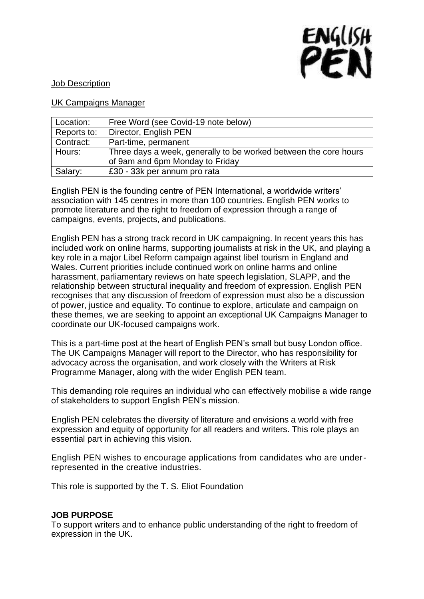

# Job Description

#### UK Campaigns Manager

| Location:   | Free Word (see Covid-19 note below)                              |
|-------------|------------------------------------------------------------------|
| Reports to: | Director, English PEN                                            |
| Contract:   | Part-time, permanent                                             |
| Hours:      | Three days a week, generally to be worked between the core hours |
|             | of 9am and 6pm Monday to Friday                                  |
| Salary:     | £30 - 33k per annum pro rata                                     |

English PEN is the founding centre of PEN International, a worldwide writers' association with 145 centres in more than 100 countries. English PEN works to promote literature and the right to freedom of expression through a range of campaigns, events, projects, and publications.

English PEN has a strong track record in UK campaigning. In recent years this has included work on online harms, supporting journalists at risk in the UK, and playing a key role in a major Libel Reform campaign against libel tourism in England and Wales. Current priorities include continued work on online harms and online harassment, parliamentary reviews on hate speech legislation, SLAPP, and the relationship between structural inequality and freedom of expression. English PEN recognises that any discussion of freedom of expression must also be a discussion of power, justice and equality. To continue to explore, articulate and campaign on these themes, we are seeking to appoint an exceptional UK Campaigns Manager to coordinate our UK-focused campaigns work.

This is a part-time post at the heart of English PEN's small but busy London office. The UK Campaigns Manager will report to the Director, who has responsibility for advocacy across the organisation, and work closely with the Writers at Risk Programme Manager, along with the wider English PEN team.

This demanding role requires an individual who can effectively mobilise a wide range of stakeholders to support English PEN's mission.

English PEN celebrates the diversity of literature and envisions a world with free expression and equity of opportunity for all readers and writers. This role plays an essential part in achieving this vision.

English PEN wishes to encourage applications from candidates who are underrepresented in the creative industries.

This role is supported by the T. S. Eliot Foundation

#### **JOB PURPOSE**

To support writers and to enhance public understanding of the right to freedom of expression in the UK.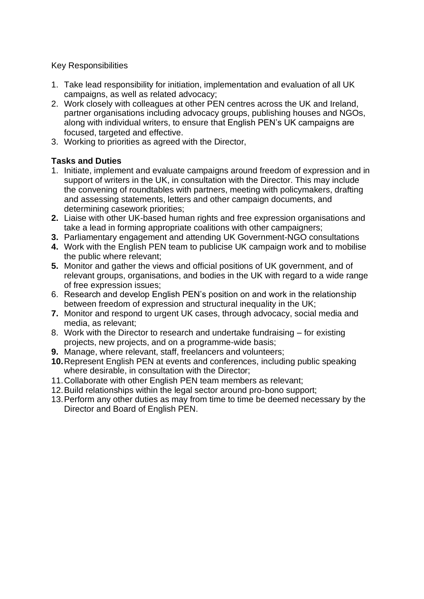# Key Responsibilities

- 1. Take lead responsibility for initiation, implementation and evaluation of all UK campaigns, as well as related advocacy;
- 2. Work closely with colleagues at other PEN centres across the UK and Ireland, partner organisations including advocacy groups, publishing houses and NGOs, along with individual writers, to ensure that English PEN's UK campaigns are focused, targeted and effective.
- 3. Working to priorities as agreed with the Director,

# **Tasks and Duties**

- 1. Initiate, implement and evaluate campaigns around freedom of expression and in support of writers in the UK, in consultation with the Director. This may include the convening of roundtables with partners, meeting with policymakers, drafting and assessing statements, letters and other campaign documents, and determining casework priorities;
- **2.** Liaise with other UK-based human rights and free expression organisations and take a lead in forming appropriate coalitions with other campaigners;
- **3.** Parliamentary engagement and attending UK Government-NGO consultations
- **4.** Work with the English PEN team to publicise UK campaign work and to mobilise the public where relevant;
- **5.** Monitor and gather the views and official positions of UK government, and of relevant groups, organisations, and bodies in the UK with regard to a wide range of free expression issues;
- 6. Research and develop English PEN's position on and work in the relationship between freedom of expression and structural inequality in the UK;
- **7.** Monitor and respond to urgent UK cases, through advocacy, social media and media, as relevant;
- 8. Work with the Director to research and undertake fundraising for existing projects, new projects, and on a programme-wide basis;
- **9.** Manage, where relevant, staff, freelancers and volunteers;
- **10.**Represent English PEN at events and conferences, including public speaking where desirable, in consultation with the Director;
- 11.Collaborate with other English PEN team members as relevant;
- 12.Build relationships within the legal sector around pro-bono support;
- 13.Perform any other duties as may from time to time be deemed necessary by the Director and Board of English PEN.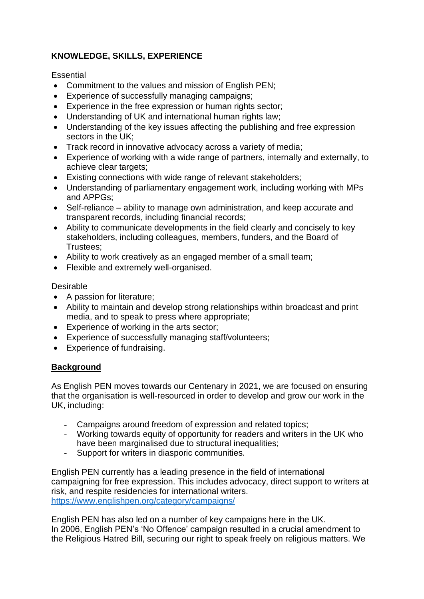# **KNOWLEDGE, SKILLS, EXPERIENCE**

**Essential** 

- Commitment to the values and mission of English PEN;
- Experience of successfully managing campaigns;
- Experience in the free expression or human rights sector;
- Understanding of UK and international human rights law;
- Understanding of the key issues affecting the publishing and free expression sectors in the UK;
- Track record in innovative advocacy across a variety of media;
- Experience of working with a wide range of partners, internally and externally, to achieve clear targets;
- Existing connections with wide range of relevant stakeholders;
- Understanding of parliamentary engagement work, including working with MPs and APPGs;
- Self-reliance ability to manage own administration, and keep accurate and transparent records, including financial records;
- Ability to communicate developments in the field clearly and concisely to key stakeholders, including colleagues, members, funders, and the Board of Trustees;
- Ability to work creatively as an engaged member of a small team;
- Flexible and extremely well-organised.

# Desirable

- A passion for literature;
- Ability to maintain and develop strong relationships within broadcast and print media, and to speak to press where appropriate;
- Experience of working in the arts sector;
- Experience of successfully managing staff/volunteers:
- Experience of fundraising.

# **Background**

As English PEN moves towards our Centenary in 2021, we are focused on ensuring that the organisation is well-resourced in order to develop and grow our work in the UK, including:

- Campaigns around freedom of expression and related topics;
- Working towards equity of opportunity for readers and writers in the UK who have been marginalised due to structural inequalities;
- Support for writers in diasporic communities.

English PEN currently has a leading presence in the field of international campaigning for free expression. This includes advocacy, direct support to writers at risk, and respite residencies for international writers. <https://www.englishpen.org/category/campaigns/>

English PEN has also led on a number of key campaigns here in the UK. In 2006, English PEN's 'No Offence' campaign resulted in a crucial amendment to the Religious Hatred Bill, securing our right to speak freely on religious matters. We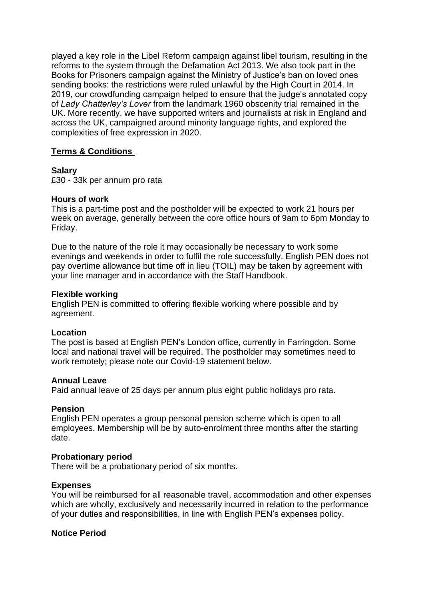played a key role in the Libel Reform campaign against libel tourism, resulting in the reforms to the system through the Defamation Act 2013. We also took part in the Books for Prisoners campaign against the Ministry of Justice's ban on loved ones sending books: the restrictions were ruled unlawful by the High Court in 2014. In 2019, our crowdfunding campaign helped to ensure that the judge's annotated copy of *Lady Chatterley's Lover* from the landmark 1960 obscenity trial remained in the UK. More recently, we have supported writers and journalists at risk in England and across the UK, campaigned around minority language rights, and explored the complexities of free expression in 2020.

# **Terms & Conditions**

#### **Salary**

£30 - 33k per annum pro rata

#### **Hours of work**

This is a part-time post and the postholder will be expected to work 21 hours per week on average, generally between the core office hours of 9am to 6pm Monday to Friday.

Due to the nature of the role it may occasionally be necessary to work some evenings and weekends in order to fulfil the role successfully. English PEN does not pay overtime allowance but time off in lieu (TOIL) may be taken by agreement with your line manager and in accordance with the Staff Handbook.

#### **Flexible working**

English PEN is committed to offering flexible working where possible and by agreement.

# **Location**

The post is based at English PEN's London office, currently in Farringdon. Some local and national travel will be required. The postholder may sometimes need to work remotely; please note our Covid-19 statement below.

# **Annual Leave**

Paid annual leave of 25 days per annum plus eight public holidays pro rata.

#### **Pension**

English PEN operates a group personal pension scheme which is open to all employees. Membership will be by auto-enrolment three months after the starting date.

#### **Probationary period**

There will be a probationary period of six months.

# **Expenses**

You will be reimbursed for all reasonable travel, accommodation and other expenses which are wholly, exclusively and necessarily incurred in relation to the performance of your duties and responsibilities, in line with English PEN's expenses policy.

#### **Notice Period**